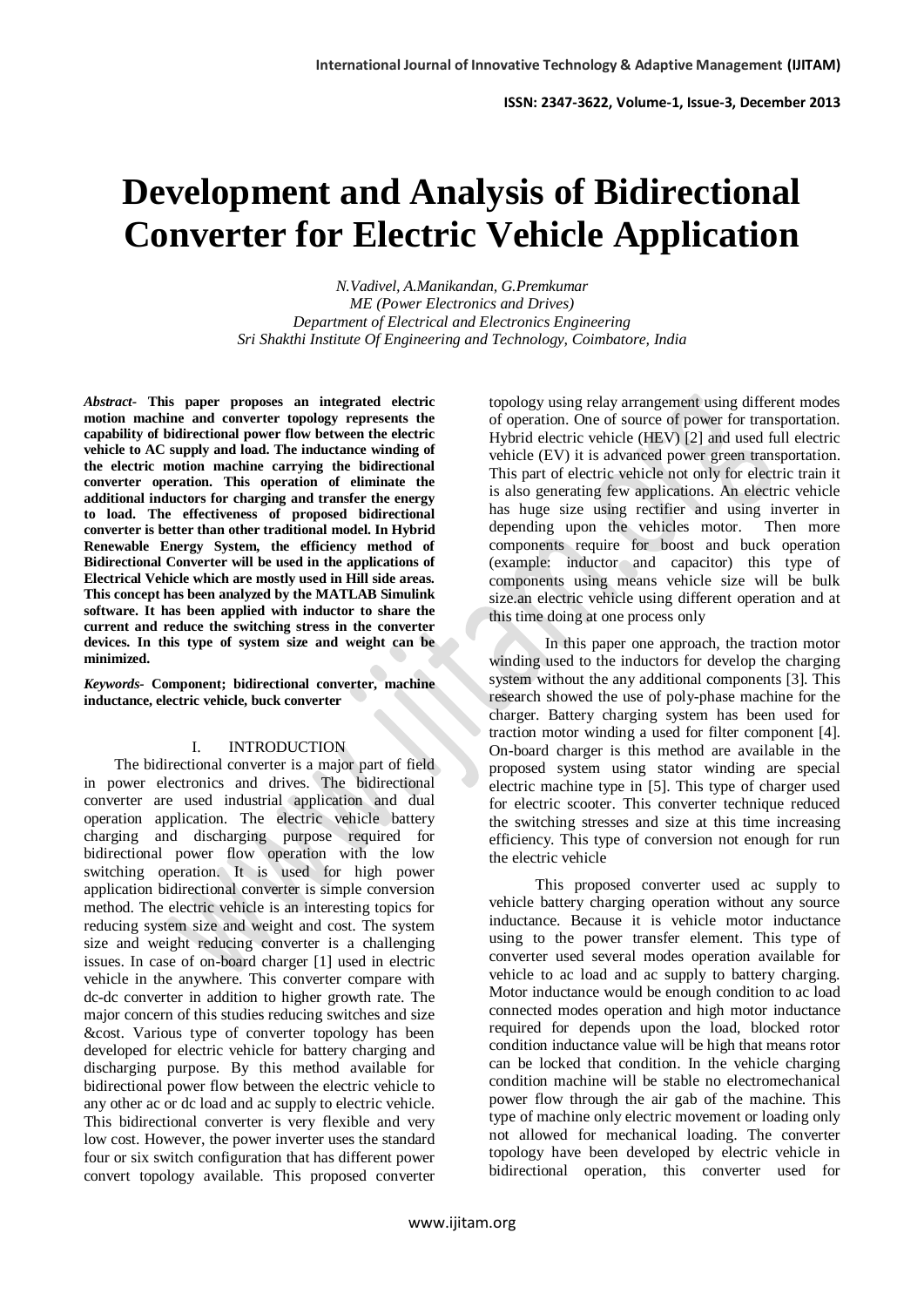# **Development and Analysis of Bidirectional Converter for Electric Vehicle Application**

*N.Vadivel, A.Manikandan, G.Premkumar ME (Power Electronics and Drives) Department of Electrical and Electronics Engineering Sri Shakthi Institute Of Engineering and Technology, Coimbatore, India*

*Abstract-* **This paper proposes an integrated electric motion machine and converter topology represents the capability of bidirectional power flow between the electric vehicle to AC supply and load. The inductance winding of the electric motion machine carrying the bidirectional converter operation. This operation of eliminate the additional inductors for charging and transfer the energy to load. The effectiveness of proposed bidirectional converter is better than other traditional model. In Hybrid Renewable Energy System, the efficiency method of Bidirectional Converter will be used in the applications of Electrical Vehicle which are mostly used in Hill side areas. This concept has been analyzed by the MATLAB Simulink software. It has been applied with inductor to share the current and reduce the switching stress in the converter devices. In this type of system size and weight can be minimized.**

*Keywords-* **Component; bidirectional converter, machine inductance, electric vehicle, buck converter**

#### I. INTRODUCTION

 The bidirectional converter is a major part of field in power electronics and drives. The bidirectional converter are used industrial application and dual operation application. The electric vehicle battery charging and discharging purpose required for bidirectional power flow operation with the low switching operation. It is used for high power application bidirectional converter is simple conversion method. The electric vehicle is an interesting topics for reducing system size and weight and cost. The system size and weight reducing converter is a challenging issues. In case of on-board charger [1] used in electric vehicle in the anywhere. This converter compare with dc-dc converter in addition to higher growth rate. The major concern of this studies reducing switches and size &cost. Various type of converter topology has been developed for electric vehicle for battery charging and discharging purpose. By this method available for bidirectional power flow between the electric vehicle to any other ac or dc load and ac supply to electric vehicle. This bidirectional converter is very flexible and very low cost. However, the power inverter uses the standard four or six switch configuration that has different power convert topology available. This proposed converter

topology using relay arrangement using different modes of operation. One of source of power for transportation. Hybrid electric vehicle (HEV) [2] and used full electric vehicle (EV) it is advanced power green transportation. This part of electric vehicle not only for electric train it is also generating few applications. An electric vehicle has huge size using rectifier and using inverter in depending upon the vehicles motor. Then more components require for boost and buck operation (example: inductor and capacitor) this type of components using means vehicle size will be bulk size.an electric vehicle using different operation and at this time doing at one process only

 In this paper one approach, the traction motor winding used to the inductors for develop the charging system without the any additional components [3]. This research showed the use of poly-phase machine for the charger. Battery charging system has been used for traction motor winding a used for filter component [4]. On-board charger is this method are available in the proposed system using stator winding are special electric machine type in [5]. This type of charger used for electric scooter. This converter technique reduced the switching stresses and size at this time increasing efficiency. This type of conversion not enough for run the electric vehicle

 This proposed converter used ac supply to vehicle battery charging operation without any source inductance. Because it is vehicle motor inductance using to the power transfer element. This type of converter used several modes operation available for vehicle to ac load and ac supply to battery charging. Motor inductance would be enough condition to ac load connected modes operation and high motor inductance required for depends upon the load, blocked rotor condition inductance value will be high that means rotor can be locked that condition. In the vehicle charging condition machine will be stable no electromechanical power flow through the air gab of the machine. This type of machine only electric movement or loading only not allowed for mechanical loading. The converter topology have been developed by electric vehicle in bidirectional operation, this converter used for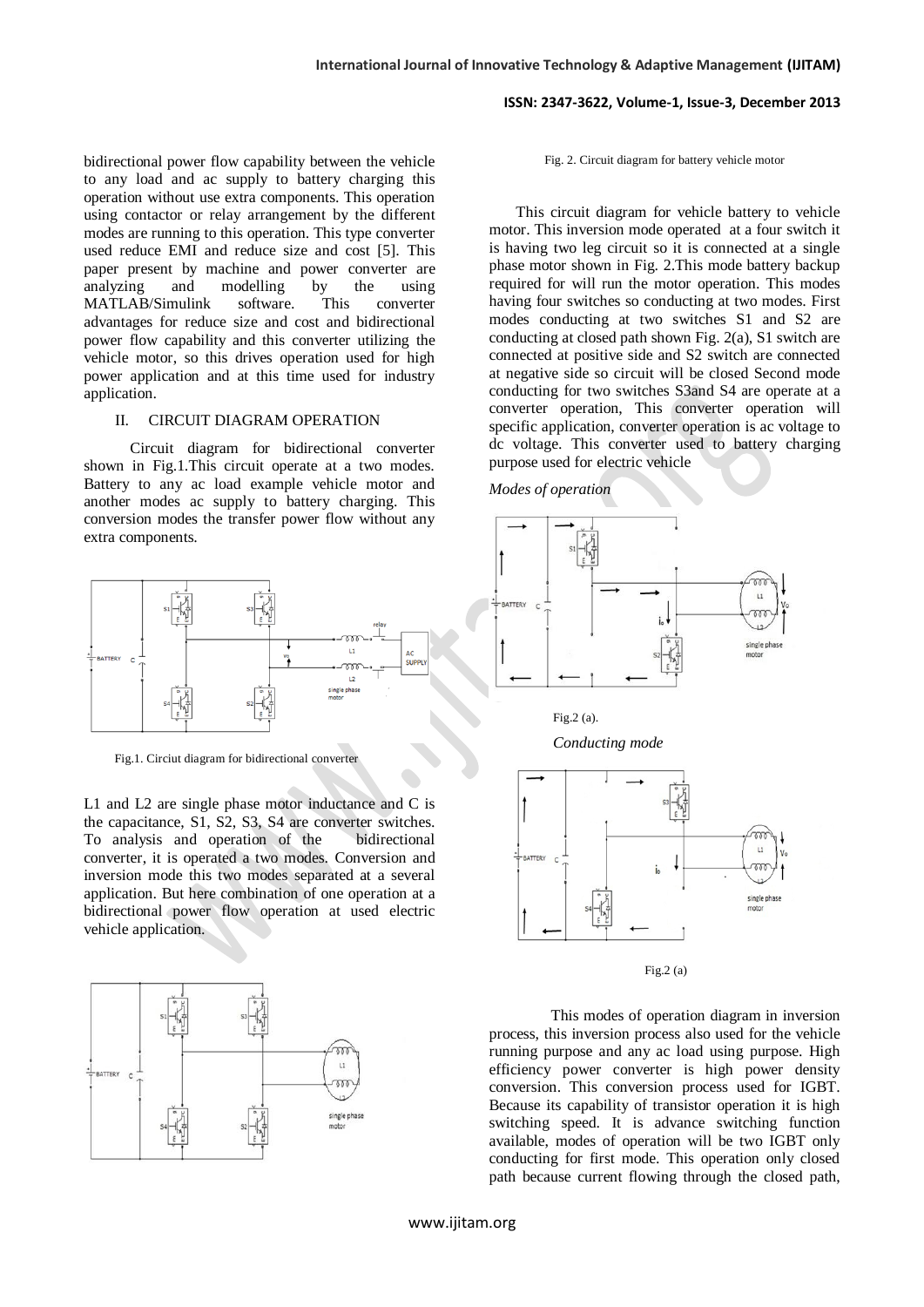bidirectional power flow capability between the vehicle to any load and ac supply to battery charging this operation without use extra components. This operation using contactor or relay arrangement by the different modes are running to this operation. This type converter used reduce EMI and reduce size and cost [5]. This paper present by machine and power converter are analyzing and modelling by the using MATLAB/Simulink software. This converter advantages for reduce size and cost and bidirectional power flow capability and this converter utilizing the vehicle motor, so this drives operation used for high power application and at this time used for industry application.

## II. CIRCUIT DIAGRAM OPERATION

 Circuit diagram for bidirectional converter shown in Fig.1.This circuit operate at a two modes. Battery to any ac load example vehicle motor and another modes ac supply to battery charging. This conversion modes the transfer power flow without any extra components.



Fig.1. Circiut diagram for bidirectional converter

L1 and L2 are single phase motor inductance and C is the capacitance, S1, S2, S3, S4 are converter switches. To analysis and operation of the bidirectional converter, it is operated a two modes. Conversion and inversion mode this two modes separated at a several application. But here combination of one operation at a bidirectional power flow operation at used electric vehicle application.



#### Fig. 2. Circuit diagram for battery vehicle motor

 This circuit diagram for vehicle battery to vehicle motor. This inversion mode operated at a four switch it is having two leg circuit so it is connected at a single phase motor shown in Fig. 2.This mode battery backup required for will run the motor operation. This modes having four switches so conducting at two modes. First modes conducting at two switches S1 and S2 are conducting at closed path shown Fig. 2(a), S1 switch are connected at positive side and S2 switch are connected at negative side so circuit will be closed Second mode conducting for two switches S3and S4 are operate at a converter operation, This converter operation will specific application, converter operation is ac voltage to dc voltage. This converter used to battery charging purpose used for electric vehicle

*Modes of operation*



Fig.2 (a).

*Conducting mode* 



Fig.2 (a)

 This modes of operation diagram in inversion process, this inversion process also used for the vehicle running purpose and any ac load using purpose. High efficiency power converter is high power density conversion. This conversion process used for IGBT. Because its capability of transistor operation it is high switching speed. It is advance switching function available, modes of operation will be two IGBT only conducting for first mode. This operation only closed path because current flowing through the closed path,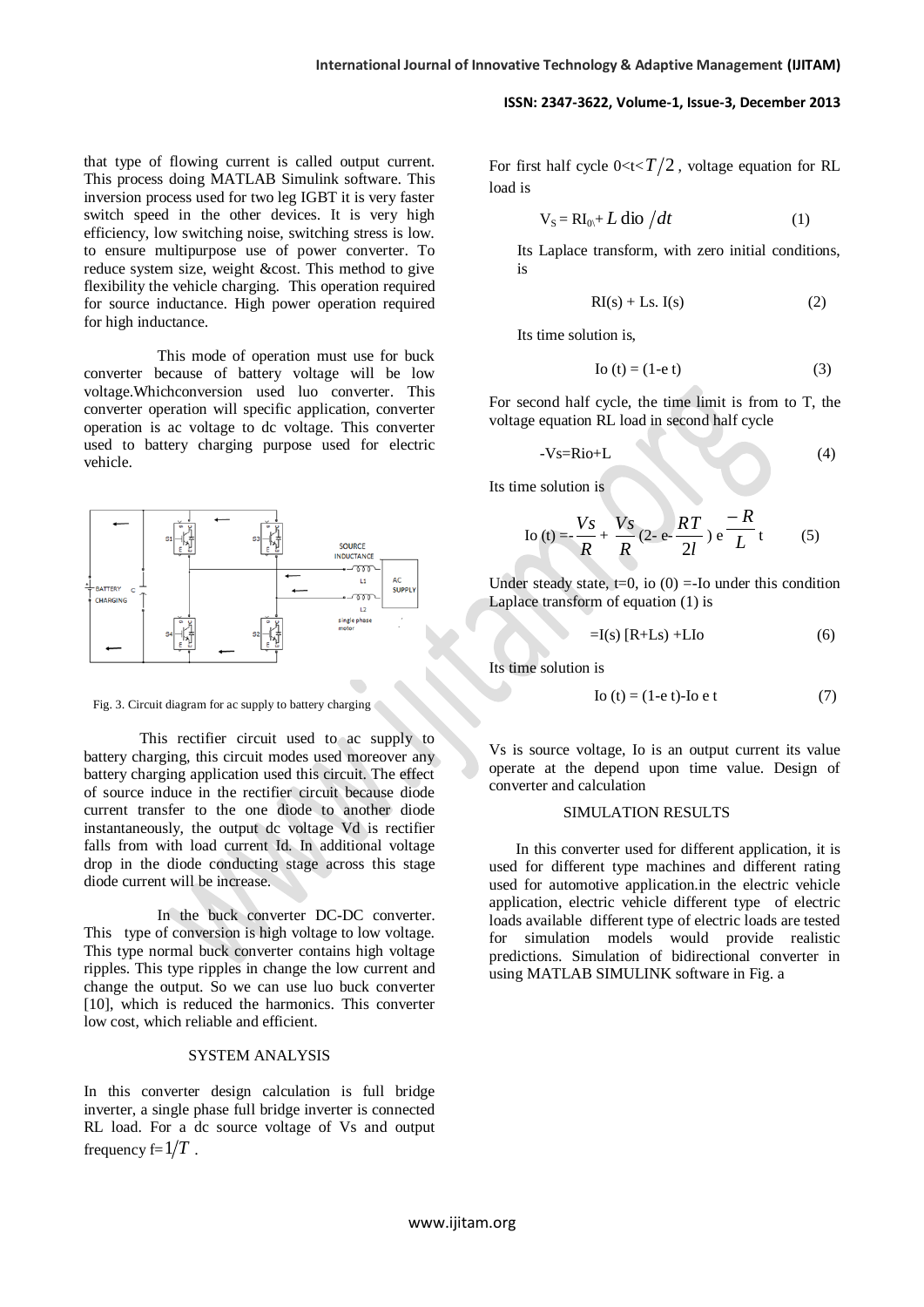that type of flowing current is called output current. This process doing MATLAB Simulink software. This inversion process used for two leg IGBT it is very faster switch speed in the other devices. It is very high efficiency, low switching noise, switching stress is low. to ensure multipurpose use of power converter. To reduce system size, weight &cost. This method to give flexibility the vehicle charging. This operation required for source inductance. High power operation required for high inductance.

 This mode of operation must use for buck converter because of battery voltage will be low voltage.Whichconversion used luo converter. This converter operation will specific application, converter operation is ac voltage to dc voltage. This converter used to battery charging purpose used for electric vehicle.



Fig. 3. Circuit diagram for ac supply to battery charging

This rectifier circuit used to ac supply to battery charging, this circuit modes used moreover any battery charging application used this circuit. The effect of source induce in the rectifier circuit because diode current transfer to the one diode to another diode instantaneously, the output dc voltage Vd is rectifier falls from with load current Id. In additional voltage drop in the diode conducting stage across this stage diode current will be increase.

 $\overline{\phantom{a}}$ 

 In the buck converter DC-DC converter. This type of conversion is high voltage to low voltage. This type normal buck converter contains high voltage ripples. This type ripples in change the low current and change the output. So we can use luo buck converter [10], which is reduced the harmonics. This converter low cost, which reliable and efficient.

#### SYSTEM ANALYSIS

In this converter design calculation is full bridge inverter, a single phase full bridge inverter is connected RL load. For a dc source voltage of Vs and output frequency  $f=1/T$ .

For first half cycle  $0 < t < T/2$ , voltage equation for RL load is

$$
V_S = RI_{0} + L \text{ dio } / dt \tag{1}
$$

Its Laplace transform, with zero initial conditions, is

$$
RI(s) + Ls. I(s)
$$
 (2)

Its time solution is,

$$
Io(t) = (1 - e t)
$$
 (3)

For second half cycle, the time limit is from to T, the voltage equation RL load in second half cycle

$$
-VS=Rio+L
$$
 (4)

Its time solution is

$$
\text{Io}\,(t) = \frac{V_s}{R} + \frac{V_s}{R} \,(2 - e - \frac{RT}{2l})\,e^{-\frac{R}{L}}t \tag{5}
$$

Under steady state,  $t=0$ , io (0) =-Io under this condition Laplace transform of equation (1) is

$$
=I(s) [R+Ls) + LIo \tag{6}
$$

Its time solution is

$$
Io(t) = (1 - e t) - Io e t
$$
 (7)

Vs is source voltage, Io is an output current its value operate at the depend upon time value. Design of converter and calculation

## SIMULATION RESULTS

 In this converter used for different application, it is used for different type machines and different rating used for automotive application.in the electric vehicle application, electric vehicle different type of electric loads available different type of electric loads are tested for simulation models would provide realistic predictions. Simulation of bidirectional converter in using MATLAB SIMULINK software in Fig. a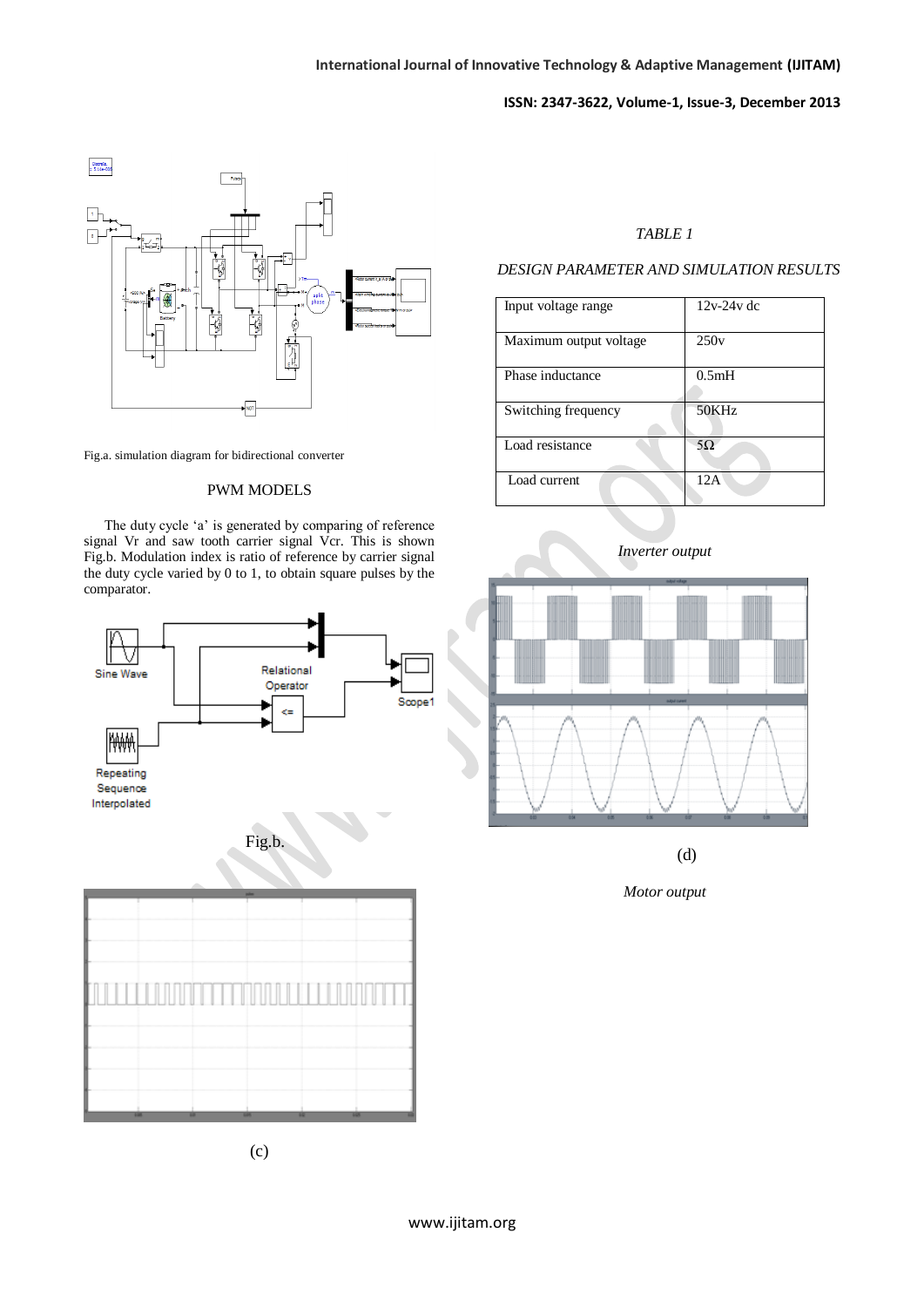

Fig.a. simulation diagram for bidirectional converter

## PWM MODELS

The duty cycle 'a' is generated by comparing of reference signal Vr and saw tooth carrier signal Vcr. This is shown Fig.b. Modulation index is ratio of reference by carrier signal the duty cycle varied by 0 to 1, to obtain square pulses by the comparator.



# *TABLE 1*

## *DESIGN PARAMETER AND SIMULATION RESULTS*

| Input voltage range    | $12v-24v$ dc |
|------------------------|--------------|
| Maximum output voltage | 250v         |
| Phase inductance       | 0.5mH        |
| Switching frequency    | 50KHz        |
| Load resistance        | 5Ω           |
| Load current           | 12A          |



*Inverter output*

(d)

*Motor output*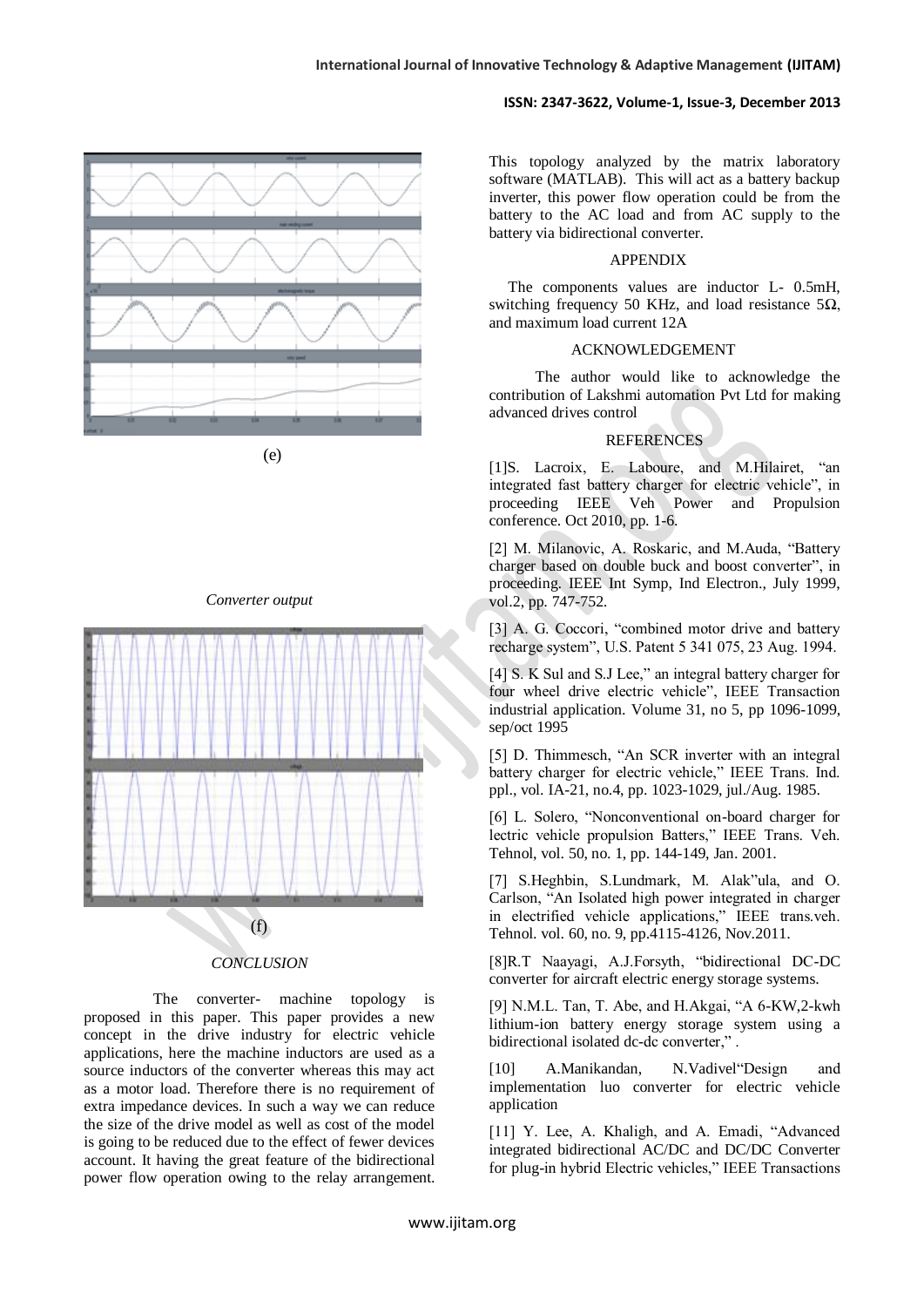

(e)

### *Converter output*



## *CONCLUSION*

 The converter- machine topology is proposed in this paper. This paper provides a new concept in the drive industry for electric vehicle applications, here the machine inductors are used as a source inductors of the converter whereas this may act as a motor load. Therefore there is no requirement of extra impedance devices. In such a way we can reduce the size of the drive model as well as cost of the model is going to be reduced due to the effect of fewer devices account. It having the great feature of the bidirectional power flow operation owing to the relay arrangement.

This topology analyzed by the matrix laboratory software (MATLAB). This will act as a battery backup inverter, this power flow operation could be from the battery to the AC load and from AC supply to the battery via bidirectional converter.

#### APPENDIX

 The components values are inductor L- 0.5mH, switching frequency 50 KHz, and load resistance  $5\Omega$ , and maximum load current 12A

## ACKNOWLEDGEMENT

 The author would like to acknowledge the contribution of Lakshmi automation Pvt Ltd for making advanced drives control

## **REFERENCES**

[1]S. Lacroix, E. Laboure, and M.Hilairet, "an integrated fast battery charger for electric vehicle", in proceeding IEEE Veh Power and Propulsion conference. Oct 2010, pp. 1-6.

[2] M. Milanovic, A. Roskaric, and M.Auda, "Battery charger based on double buck and boost converter", in proceeding. IEEE Int Symp, Ind Electron., July 1999, vol.2, pp. 747-752.

[3] A. G. Coccori, "combined motor drive and battery recharge system", U.S. Patent 5 341 075, 23 Aug. 1994.

[4] S. K Sul and S.J Lee," an integral battery charger for four wheel drive electric vehicle", IEEE Transaction industrial application. Volume 31, no 5, pp 1096-1099, sep/oct 1995

[5] D. Thimmesch, "An SCR inverter with an integral battery charger for electric vehicle," IEEE Trans. Ind. ppl., vol. IA-21, no.4, pp. 1023-1029, jul./Aug. 1985.

[6] L. Solero, "Nonconventional on-board charger for lectric vehicle propulsion Batters," IEEE Trans. Veh. Tehnol, vol. 50, no. 1, pp. 144-149, Jan. 2001.

[7] S.Heghbin, S.Lundmark, M. Alak"ula, and O. Carlson, "An Isolated high power integrated in charger in electrified vehicle applications," IEEE trans.veh. Tehnol. vol. 60, no. 9, pp.4115-4126, Nov.2011.

[8]R.T Naayagi, A.J.Forsyth, "bidirectional DC-DC converter for aircraft electric energy storage systems.

[9] N.M.L. Tan, T. Abe, and H.Akgai, "A 6-KW,2-kwh lithium-ion battery energy storage system using a bidirectional isolated dc-dc converter," .

[10] A.Manikandan, N.Vadivel"Design and implementation luo converter for electric vehicle application

[11] Y. Lee, A. Khaligh, and A. Emadi, "Advanced integrated bidirectional AC/DC and DC/DC Converter for plug-in hybrid Electric vehicles," IEEE Transactions